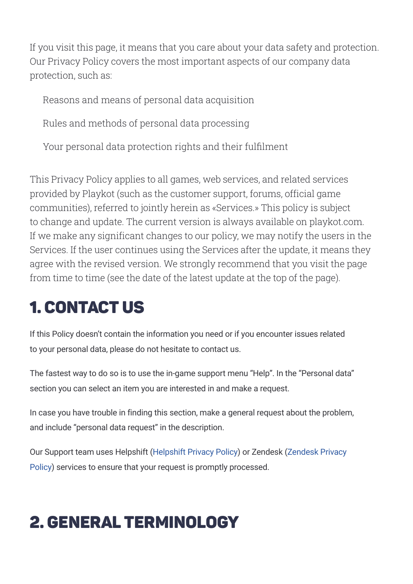If you visit this page, it means that you care about your data safety and protection. Our Privacy Policy covers the most important aspects of our company data protection, such as:

Reasons and means of personal data acquisition

Rules and methods of personal data processing

Your personal data protection rights and their fulfilment

This Privacy Policy applies to all games, web services, and related services provided by Playkot (such as the customer support, forums, official game communities), referred to jointly herein as «Services.» This policy is subject to change and update. The current version is always available on playkot.com. If we make any significant changes to our policy, we may notify the users in the Services. If the user continues using the Services after the update, it means they agree with the revised version. We strongly recommend that you visit the page from time to time (see the date of the latest update at the top of the page).

# **1. CONTACT US**

If this Policy doesn't contain the information you need or if you encounter issues related to your personal data, please do not hesitate to contact us.

The fastest way to do so is to use the in-game support menu "Help". In the "Personal data" section you can select an item you are interested in and make a request.

In case you have trouble in finding this section, make a general request about the problem, and include "personal data request" in the description.

Our Support team uses Helpshift [\(Helpshift](https://www.helpshift.com/legal/privacy/) Privacy Policy) or Zendesk (Zendesk Privacy Policy) services to ensure that your request is promptly [processed.](https://www.zendesk.com/company/agreements-and-terms/privacy-policy/)

# 2. General Terminology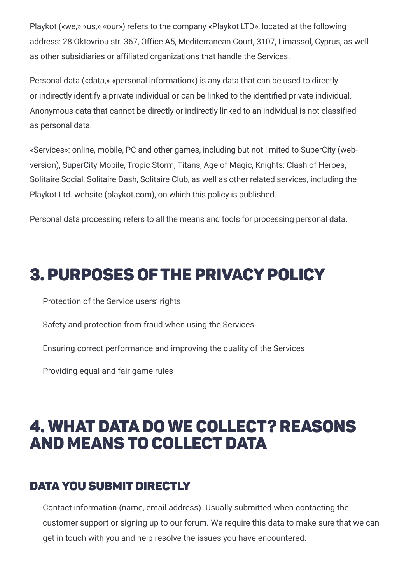Playkot («we,» «us,» «our») refers to the company «Playkot LTD», located at the following address: 28 Oktovriou str. 367, Office A5, Mediterranean Court, 3107, Limassol, Cyprus, as well as other subsidiaries or affiliated organizations that handle the Services.

Personal data («data,» «personal information») is any data that can be used to directly or indirectly identify a private individual or can be linked to the identified private individual. Anonymous data that cannot be directly or indirectly linked to an individual is not classified as personal data.

«Services»: online, mobile, PC and other games, including but not limited to SuperCity (webversion), SuperСity Mobile, Tropic Storm, Titans, Age of Magic, Knights: Clash of Heroes, Solitaire Social, Solitaire Dash, Solitaire Club, as well as other related services, including the Playkot Ltd. website (playkot.com), on which this policy is published.

Personal data processing refers to all the means and tools for processing personal data.

### **3. PURPOSES OF THE PRIVACY POLICY**

Protection of the Service users' rights

Safety and protection from fraud when using the Services

Ensuring correct performance and improving the quality of the Services

Providing equal and fair game rules

### 4. What data do we collect? Reasons and Means to Collect Data

#### Data you Submit Directly

Contact information (name, email address). Usually submitted when contacting the customer support or signing up to our forum. We require this data to make sure that we can get in touch with you and help resolve the issues you have encountered.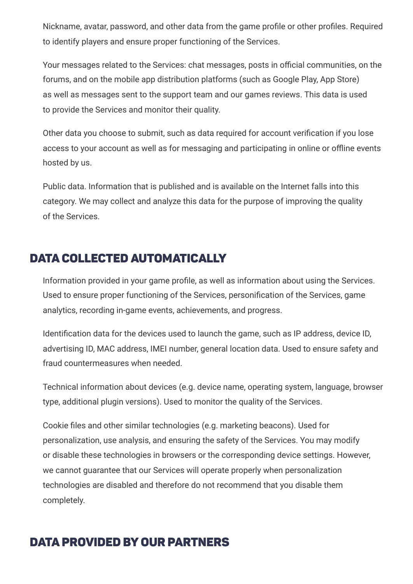Nickname, avatar, password, and other data from the game profile or other profiles. Required to identify players and ensure proper functioning of the Services.

Your messages related to the Services: chat messages, posts in official communities, on the forums, and on the mobile app distribution platforms (such as Google Play, App Store) as well as messages sent to the support team and our games reviews. This data is used to provide the Services and monitor their quality.

Other data you choose to submit, such as data required for account verification if you lose access to your account as well as for messaging and participating in online or offline events hosted by us.

Public data. Information that is published and is available on the Internet falls into this category. We may collect and analyze this data for the purpose of improving the quality of the Services.

#### DATA COLLECTED AUTOMATICALLY

Information provided in your game profile, as well as information about using the Services. Used to ensure proper functioning of the Services, personification of the Services, game analytics, recording in-game events, achievements, and progress.

Identification data for the devices used to launch the game, such as IP address, device ID, advertising ID, MAC address, IMEI number, general location data. Used to ensure safety and fraud countermeasures when needed.

Technical information about devices (e.g. device name, operating system, language, browser type, additional plugin versions). Used to monitor the quality of the Services.

Cookie files and other similar technologies (e.g. marketing beacons). Used for personalization, use analysis, and ensuring the safety of the Services. You may modify or disable these technologies in browsers or the corresponding device settings. However, we cannot guarantee that our Services will operate properly when personalization technologies are disabled and therefore do not recommend that you disable them completely.

#### Data Provided by our Partners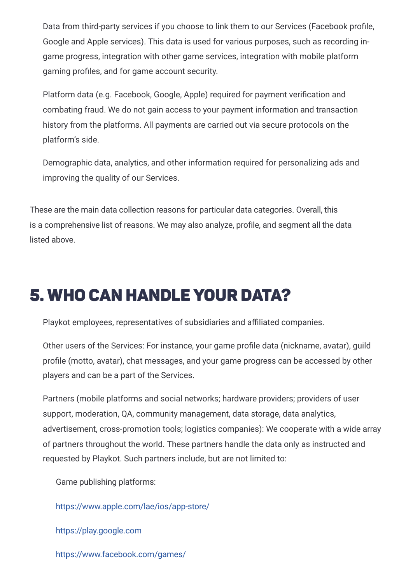Data from third-party services if you choose to link them to our Services (Facebook profile, Google and Apple services). This data is used for various purposes, such as recording ingame progress, integration with other game services, integration with mobile platform gaming profiles, and for game account security.

Platform data (e.g. Facebook, Google, Apple) required for payment verification and combating fraud. We do not gain access to your payment information and transaction history from the platforms. All payments are carried out via secure protocols on the platform's side.

Demographic data, analytics, and other information required for personalizing ads and improving the quality of our Services.

These are the main data collection reasons for particular data categories. Overall, this is a comprehensive list of reasons. We may also analyze, profile, and segment all the data listed above.

### 5. Who Can Handle Your Data?

Playkot employees, representatives of subsidiaries and affiliated companies.

Other users of the Services: For instance, your game profile data (nickname, avatar), guild profile (motto, avatar), chat messages, and your game progress can be accessed by other players and can be a part of the Services.

Partners (mobile platforms and social networks; hardware providers; providers of user support, moderation, QA, community management, data storage, data analytics, advertisement, cross-promotion tools; logistics companies): We cooperate with a wide array of partners throughout the world. These partners handle the data only as instructed and requested by Playkot. Such partners include, but are not limited to:

Game publishing platforms:

<https://www.apple.com/lae/ios/app-store/>

[https://play.google.com](https://play.google.com/)

<https://www.facebook.com/games/>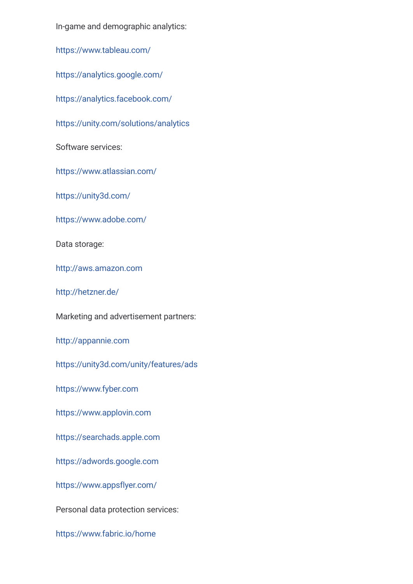In-game and demographic analytics:

<https://www.tableau.com/>

<https://analytics.google.com/>

<https://analytics.facebook.com/>

<https://unity.com/solutions/analytics>

Software services:

<https://www.atlassian.com/>

<https://unity3d.com/>

<https://www.adobe.com/>

Data storage:

[http://aws.amazon.com](http://aws.amazon.com/)

<http://hetzner.de/>

Marketing and advertisement partners:

[http://appannie.com](http://appannie.com/)

<https://unity3d.com/unity/features/ads>

[https://www.fyber.com](https://www.fyber.com/)

[https://www.applovin.com](https://www.applovin.com/)

[https://searchads.apple.com](https://searchads.apple.com/)

[https://adwords.google.com](https://adwords.google.com/)

<https://www.appsflyer.com/>

Personal data protection services:

<https://www.fabric.io/home>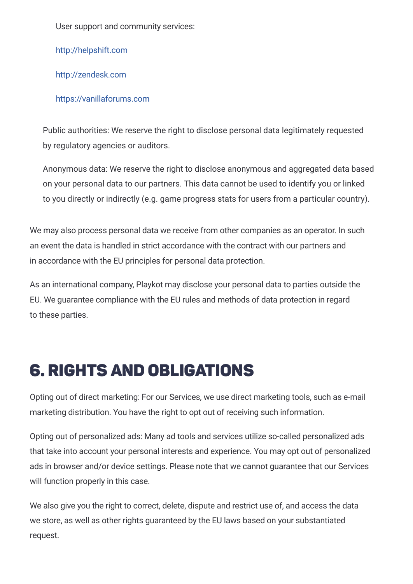User support and community services:

[http://helpshift.com](http://helpshift.com/)

[http://zendesk.com](http://zendesk.com/)

[https://vanillaforums.com](https://vanillaforums.com/)

Public authorities: We reserve the right to disclose personal data legitimately requested by regulatory agencies or auditors.

Anonymous data: We reserve the right to disclose anonymous and aggregated data based on your personal data to our partners. This data cannot be used to identify you or linked to you directly or indirectly (e.g. game progress stats for users from a particular country).

We may also process personal data we receive from other companies as an operator. In such an event the data is handled in strict accordance with the contract with our partners and in accordance with the EU principles for personal data protection.

As an international company, Playkot may disclose your personal data to parties outside the EU. We guarantee compliance with the EU rules and methods of data protection in regard to these parties.

# 6. Rights and Obligations

Opting out of direct marketing: For our Services, we use direct marketing tools, such as e-mail marketing distribution. You have the right to opt out of receiving such information.

Opting out of personalized ads: Many ad tools and services utilize so-called personalized ads that take into account your personal interests and experience. You may opt out of personalized ads in browser and/or device settings. Please note that we cannot guarantee that our Services will function properly in this case.

We also give you the right to correct, delete, dispute and restrict use of, and access the data we store, as well as other rights guaranteed by the EU laws based on your substantiated request.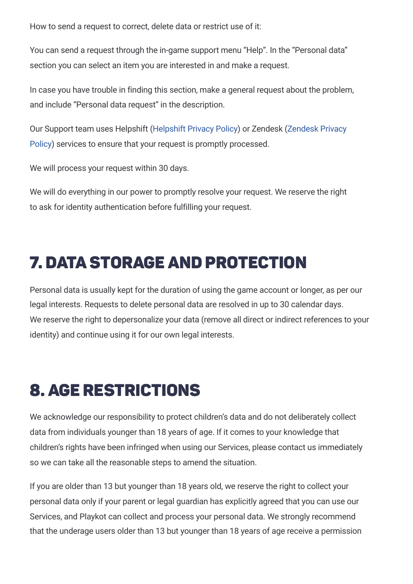How to send a request to correct, delete data or restrict use of it:

You can send a request through the in-game support menu "Help". In the "Personal data" section you can select an item you are interested in and make a request.

In case you have trouble in finding this section, make a general request about the problem, and include "Personal data request" in the description.

Our Support team uses Helpshift [\(Helpshift](https://www.helpshift.com/legal/privacy/) Privacy Policy) or Zendesk (Zendesk Privacy Policy) services to ensure that your request is promptly [processed.](https://www.zendesk.com/company/agreements-and-terms/privacy-policy/)

We will process your request within 30 days.

We will do everything in our power to promptly resolve your request. We reserve the right to ask for identity authentication before fulfilling your request.

## 7. Data Storage and Protection

Personal data is usually kept for the duration of using the game account or longer, as per our legal interests. Requests to delete personal data are resolved in up to 30 calendar days. We reserve the right to depersonalize your data (remove all direct or indirect references to your identity) and continue using it for our own legal interests.

# 8. Age Restrictions

We acknowledge our responsibility to protect children's data and do not deliberately collect data from individuals younger than 18 years of age. If it comes to your knowledge that children's rights have been infringed when using our Services, please contact us immediately so we can take all the reasonable steps to amend the situation.

If you are older than 13 but younger than 18 years old, we reserve the right to collect your personal data only if your parent or legal guardian has explicitly agreed that you can use our Services, and Playkot can collect and process your personal data. We strongly recommend that the underage users older than 13 but younger than 18 years of age receive a permission